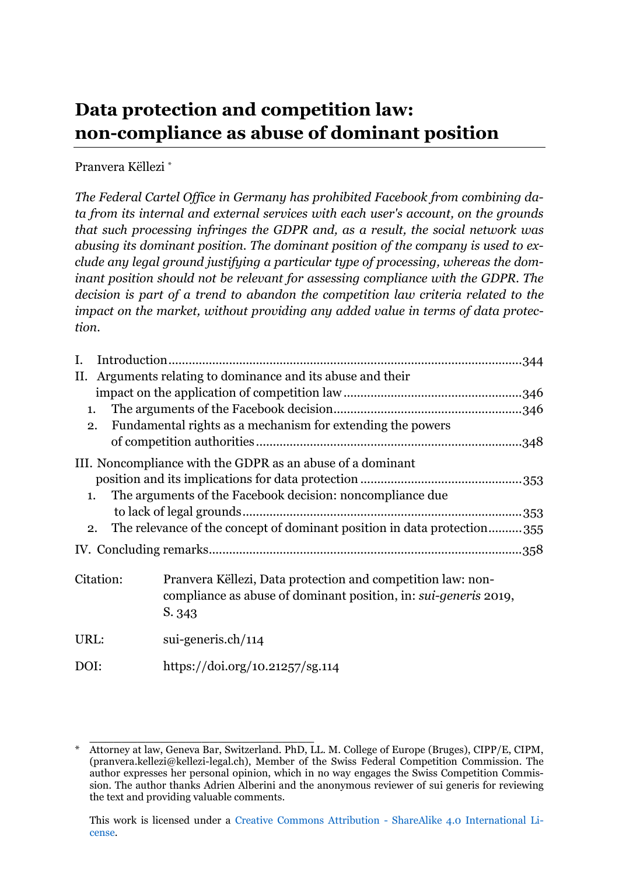# <span id="page-0-0"></span>**Data protection and competition law: non-compliance as abuse of dominant position**

Pranvera Këllezi \*

*The Federal Cartel Office in Germany has prohibited Facebook from combining data from its internal and external services with each user's account, on the grounds that such processing infringes the GDPR and, as a result, the social network was abusing its dominant position. The dominant position of the company is used to exclude any legal ground justifying a particular type of processing, whereas the dominant position should not be relevant for assessing compliance with the GDPR. The decision is part of a trend to abandon the competition law criteria related to the impact on the market, without providing any added value in terms of data protection.*

| I.             |                                                            |                                                                         |  |  |
|----------------|------------------------------------------------------------|-------------------------------------------------------------------------|--|--|
| П.             | Arguments relating to dominance and its abuse and their    |                                                                         |  |  |
|                |                                                            |                                                                         |  |  |
| $\mathbf{1}$ . |                                                            |                                                                         |  |  |
| 2.             | Fundamental rights as a mechanism for extending the powers |                                                                         |  |  |
|                |                                                            |                                                                         |  |  |
|                |                                                            | III. Noncompliance with the GDPR as an abuse of a dominant              |  |  |
|                |                                                            |                                                                         |  |  |
|                | $\mathbf{1}$ .                                             | The arguments of the Facebook decision: noncompliance due               |  |  |
|                |                                                            |                                                                         |  |  |
|                | 2.                                                         | The relevance of the concept of dominant position in data protection355 |  |  |
|                |                                                            |                                                                         |  |  |
| Citation:      |                                                            | Pranvera Këllezi, Data protection and competition law: non-             |  |  |
|                |                                                            | compliance as abuse of dominant position, in: sui-generis 2019,         |  |  |
|                |                                                            | S. 343                                                                  |  |  |
| URL:           |                                                            | $sui-generis.ch/114$                                                    |  |  |
| DOI:           |                                                            | https://doi.org/10.21257/sg.114                                         |  |  |

<sup>\*</sup> Attorney at law, Geneva Bar, Switzerland. PhD, LL. M. College of Europe (Bruges), CIPP/E, CIPM, (pranvera.kellezi@kellezi-legal.ch), Member of the Swiss Federal Competition Commission. The author expresses her personal opinion, which in no way engages the Swiss Competition Commission. The author thanks Adrien Alberini and the anonymous reviewer of sui generis for reviewing the text and providing valuable comments.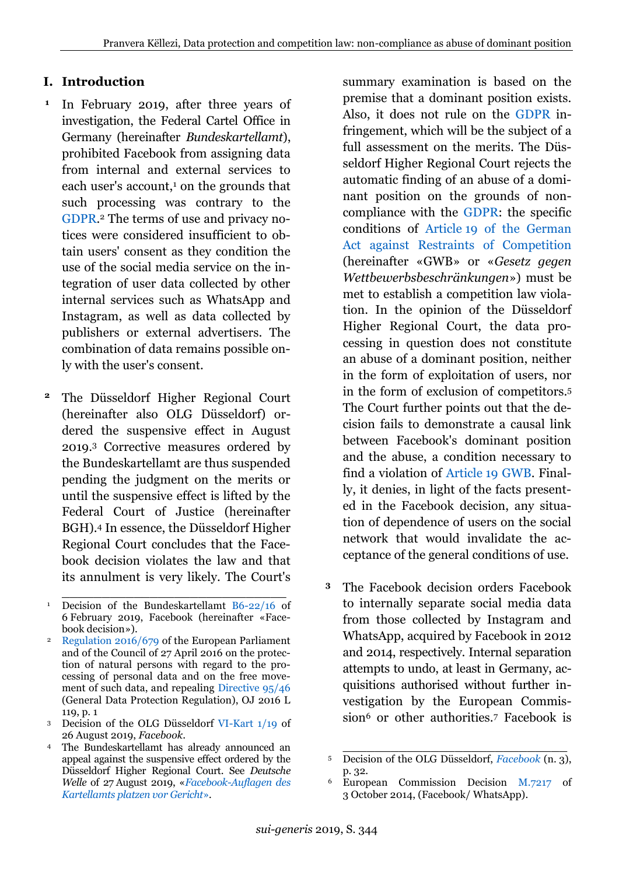# **I. Introduction**

- <span id="page-1-1"></span>In February 2019, after three years of investigation, the Federal Cartel Office in Germany (hereinafter *Bundeskartellamt*), prohibited Facebook from assigning data from internal and external services to each user's account,<sup>1</sup> on the grounds that such processing was contrary to the [GDPR.](https://perma.cc/RX8Z-3CYS) <sup>2</sup> The terms of use and privacy notices were considered insufficient to obtain users' consent as they condition the use of the social media service on the integration of user data collected by other internal services such as WhatsApp and Instagram, as well as data collected by publishers or external advertisers. The combination of data remains possible only with the user's consent. **1**
- <span id="page-1-0"></span>The Düsseldorf Higher Regional Court (hereinafter also OLG Düsseldorf) ordered the suspensive effect in August 2019.<sup>3</sup> Corrective measures ordered by the Bundeskartellamt are thus suspended pending the judgment on the merits or until the suspensive effect is lifted by the Federal Court of Justice (hereinafter BGH).<sup>4</sup> In essence, the Düsseldorf Higher Regional Court concludes that the Facebook decision violates the law and that its annulment is very likely. The Court's **2**

summary examination is based on the premise that a dominant position exists. Also, it does not rule on the [GDPR](https://perma.cc/RX8Z-3CYS) infringement, which will be the subject of a full assessment on the merits. The Düsseldorf Higher Regional Court rejects the automatic finding of an abuse of a dominant position on the grounds of noncompliance with the [GDPR:](https://perma.cc/RX8Z-3CYS) the specific conditions of Article [19 of the German](https://perma.cc/2WBY-WVD8)  [Act against Restraints of Competition](https://perma.cc/2WBY-WVD8) (hereinafter «GWB» or «*Gesetz gegen Wettbewerbsbeschränkungen*») must be met to establish a competition law violation. In the opinion of the Düsseldorf Higher Regional Court, the data processing in question does not constitute an abuse of a dominant position, neither in the form of exploitation of users, nor in the form of exclusion of competitors.<sup>5</sup> The Court further points out that the decision fails to demonstrate a causal link between Facebook's dominant position and the abuse, a condition necessary to find a violation of Article [19 GWB.](https://perma.cc/2WBY-WVD8) Finally, it denies, in light of the facts presented in the Facebook decision, any situation of dependence of users on the social network that would invalidate the acceptance of the general conditions of use.

The Facebook decision orders Facebook to internally separate social media data from those collected by Instagram and WhatsApp, acquired by Facebook in 2012 and 2014, respectively. Internal separation attempts to undo, at least in Germany, acquisitions authorised without further investigation by the European Commission<sup>6</sup> or other authorities.<sup>7</sup> Facebook is **3**

\_\_\_\_\_\_\_\_\_\_\_\_\_\_\_\_\_\_\_\_\_\_\_\_\_\_\_\_ <sup>1</sup> Decision of the Bundeskartellamt [B6-22/16](https://perma.cc/TQZ8-9SCS) of 6 February 2019, Facebook (hereinafter «Facebook decision»).

<sup>2</sup> [Regulation 2016/679](https://perma.cc/36XY-QEWM) of the European Parliament and of the Council of 27 April 2016 on the protection of natural persons with regard to the processing of personal data and on the free movement of such data, and repealing [Directive 95/46](https://perma.cc/D9NP-5D94) (General Data Protection Regulation), OJ 2016 L 119, p. 1

<sup>3</sup> Decision of the OLG Düsseldorf [VI-Kart 1/19](https://perma.cc/X8NZ-EQ65) of 26 August 2019, *Facebook*.

<sup>4</sup> The Bundeskartellamt has already announced an appeal against the suspensive effect ordered by the Düsseldorf Higher Regional Court. See *Deutsche Welle* of 27 August 2019, «*[Facebook-Auflagen des](https://perma.cc/PA9M-K9W9)  [Kartellamts platzen vor Gericht](https://perma.cc/PA9M-K9W9)*»*.*

<sup>5</sup> Decision of the OLG Düsseldorf, *[Facebook](https://perma.cc/X8NZ-EQ65)* (n. [3\)](#page-1-0), p. 32.

<sup>6</sup> European Commission Decision [M.7217](https://perma.cc/2U66-2E48) of 3 October 2014, (Facebook/ WhatsApp).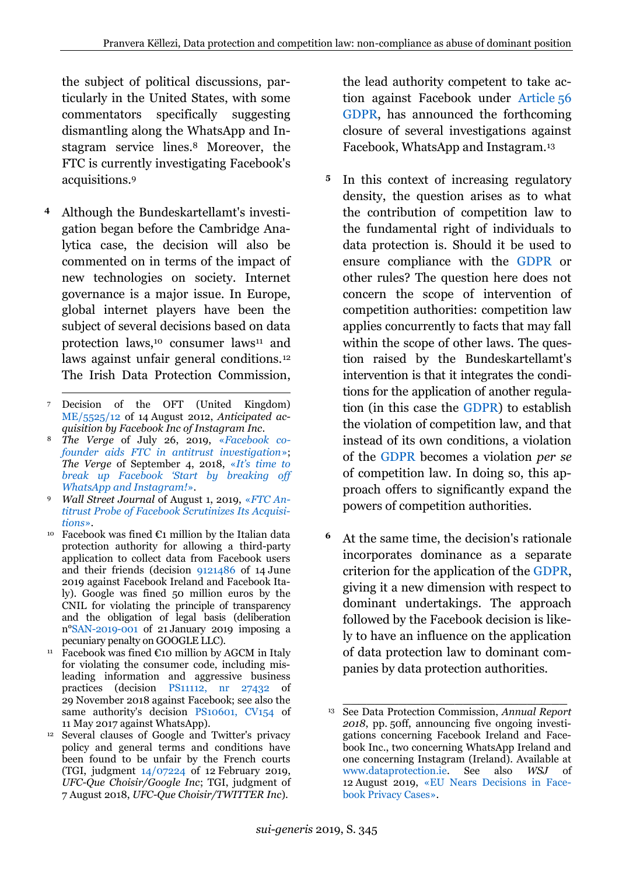the subject of political discussions, particularly in the United States, with some commentators specifically suggesting dismantling along the WhatsApp and Instagram service lines.<sup>8</sup> Moreover, the FTC is currently investigating Facebook's acquisitions.<sup>9</sup>

- Although the Bundeskartellamt's investi-**4** gation began before the Cambridge Analytica case, the decision will also be commented on in terms of the impact of new technologies on society. Internet governance is a major issue. In Europe, global internet players have been the subject of several decisions based on data protection laws,<sup>10</sup> consumer laws<sup>11</sup> and laws against unfair general conditions.<sup>12</sup> The Irish Data Protection Commission,
- $\overline{a}$ <sup>7</sup> Decision of the OFT (United Kingdom) [ME/5525/12](https://perma.cc/M2X9-AK63) of 14 August 2012, *Anticipated acquisition by Facebook Inc of Instagram Inc*.
- <sup>8</sup> *The Verge* of July 26, 2019, «*[Facebook co](https://perma.cc/C6UK-FFVU)[founder aids FTC in antitrust investigation](https://perma.cc/C6UK-FFVU)*»; *The Verge* of September 4, 2018, «*[It's time to](https://perma.cc/ULJ6-GFUH)  [break up Facebook 'Start by breaking off](https://perma.cc/ULJ6-GFUH)  [WhatsApp and Instagram!](https://perma.cc/ULJ6-GFUH)*».
- <sup>9</sup> *Wall Street Journal* of August 1, 2019, «*[FTC An](https://perma.cc/6YVG-XW35)[titrust Probe of Facebook Scrutinizes Its Acquisi](https://perma.cc/6YVG-XW35)[tions](https://perma.cc/6YVG-XW35)*».
- Facebook was fined  $\epsilon_1$  million by the Italian data protection authority for allowing a third-party application to collect data from Facebook users and their friends (decision [9121486](https://perma.cc/LHV7-2THY) of 14 June 2019 against Facebook Ireland and Facebook Italy). Google was fined 50 million euros by the CNIL for violating the principle of transparency and the obligation of legal basis (deliberation n[°SAN-2019-001](https://perma.cc/RWV8-KQHZ) of 21 January 2019 imposing a pecuniary penalty on GOOGLE LLC).
- <sup>11</sup> Facebook was fined  $\epsilon$ 10 million by AGCM in Italy for violating the consumer code, including misleading information and aggressive business practices (decision [PS11112, nr 27432](https://perma.cc/EE7D-94BK) of 29 November 2018 against Facebook; see also the same authority's decision [PS10601, CV154](https://perma.cc/A2J2-6BHS) of 11 May 2017 against WhatsApp).
- <sup>12</sup> Several clauses of Google and Twitter's privacy policy and general terms and conditions have been found to be unfair by the French courts (TGI, judgment [14/07224](https://perma.cc/8TPM-NX59) of 12 February 2019, *UFC-Que Choisir/Google Inc*; TGI, judgment of 7 August 2018, *UFC-Que Choisir/TWITTER Inc*).

the lead authority competent to take action against Facebook under [Article](https://perma.cc/WT8P-AV8H) 56 [GDPR,](https://perma.cc/WT8P-AV8H) has announced the forthcoming closure of several investigations against Facebook, WhatsApp and Instagram.<sup>13</sup>

- In this context of increasing regulatory **5** density, the question arises as to what the contribution of competition law to the fundamental right of individuals to data protection is. Should it be used to ensure compliance with the [GDPR](https://perma.cc/RX8Z-3CYS) or other rules? The question here does not concern the scope of intervention of competition authorities: competition law applies concurrently to facts that may fall within the scope of other laws. The question raised by the Bundeskartellamt's intervention is that it integrates the conditions for the application of another regulation (in this case the [GDPR\)](https://perma.cc/RX8Z-3CYS) to establish the violation of competition law, and that instead of its own conditions, a violation of the [GDPR](https://perma.cc/RX8Z-3CYS) becomes a violation *per se* of competition law. In doing so, this approach offers to significantly expand the powers of competition authorities.
- At the same time, the decision's rationale incorporates dominance as a separate criterion for the application of the [GDPR,](https://perma.cc/RX8Z-3CYS) giving it a new dimension with respect to dominant undertakings. The approach followed by the Facebook decision is likely to have an influence on the application of data protection law to dominant companies by data protection authorities. **6**

<sup>13</sup> See Data Protection Commission, *Annual Report 2018*, pp. 50ff, announcing five ongoing investigations concerning Facebook Ireland and Facebook Inc., two concerning WhatsApp Ireland and one concerning Instagram (Ireland). Available at [www.dataprotection.ie.](https://www.dataprotection.ie/) See also *WSJ* of 12 August 2019, [«EU Nears Decisions in Face](https://perma.cc/7HVB-CY2Q)[book Privacy Cases».](https://perma.cc/7HVB-CY2Q)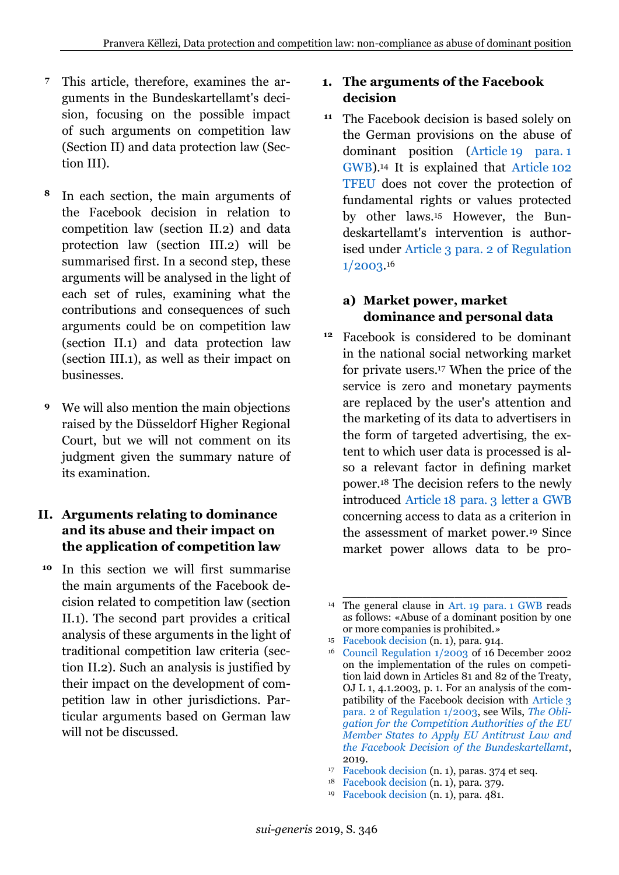- This article, therefore, examines the arguments in the Bundeskartellamt's decision, focusing on the possible impact of such arguments on competition law (Section II) and data protection law (Section III). **7**
- In each section, the main arguments of the Facebook decision in relation to competition law (section II.2) and data protection law (section III.2) will be summarised first. In a second step, these arguments will be analysed in the light of each set of rules, examining what the contributions and consequences of such arguments could be on competition law (section II.1) and data protection law (section III.1), as well as their impact on businesses. **8**
- We will also mention the main objections raised by the Düsseldorf Higher Regional Court, but we will not comment on its judgment given the summary nature of its examination. **9**

## <span id="page-3-0"></span>**II. Arguments relating to dominance and its abuse and their impact on the application of competition law**

In this section we will first summarise **10** the main arguments of the Facebook decision related to competition law (section II.1). The second part provides a critical analysis of these arguments in the light of traditional competition law criteria (section II.2). Such an analysis is justified by their impact on the development of competition law in other jurisdictions. Particular arguments based on German law will not be discussed.

## <span id="page-3-1"></span>**1. The arguments of the Facebook decision**

The Facebook decision is based solely on the German provisions on the abuse of dominant position (Article [19 para.](https://perma.cc/2WBY-WVD8) 1 [GWB\)](https://perma.cc/2WBY-WVD8).<sup>14</sup> It is explained that [Article](https://perma.cc/Z2YR-R34B) 102 [TFEU](https://perma.cc/Z2YR-R34B) does not cover the protection of fundamental rights or values protected by other laws.<sup>15</sup> However, the Bundeskartellamt's intervention is authorised under Article 3 para. [2 of Regulation](https://perma.cc/MD5U-T9AD)  [1/2003.](https://perma.cc/MD5U-T9AD) 16 **11**

# **a) Market power, market dominance and personal data**

Facebook is considered to be dominant **12**in the national social networking market for private users.<sup>17</sup> When the price of the service is zero and monetary payments are replaced by the user's attention and the marketing of its data to advertisers in the form of targeted advertising, the extent to which user data is processed is also a relevant factor in defining market power.<sup>18</sup> The decision refers to the newly introduced Article [18 para.](https://perma.cc/S3BD-D3MX) 3 letter a GWB concerning access to data as a criterion in the assessment of market power.<sup>19</sup> Since market power allows data to be pro-

\_\_\_\_\_\_\_\_\_\_\_\_\_\_\_\_\_\_\_\_\_\_\_\_\_\_\_\_ <sup>14</sup> The general clause in Art. [19 para.](https://perma.cc/2WBY-WVD8) 1 GWB reads as follows: «Abuse of a dominant position by one or more companies is prohibited.»

<sup>15</sup> [Facebook decision](https://perma.cc/E74K-MEGY) (n. [1\)](#page-1-1), para. 914.

<sup>16</sup> [Council Regulation 1/2003](https://perma.cc/PB5W-7SXW) of 16 December 2002 on the implementation of the rules on competition laid down in Articles 81 and 82 of the Treaty, OJ L 1, 4.1.2003, p. 1. For an analysis of the compatibility of the Facebook decision with [Article](https://perma.cc/M3PW-FPR5) 3 [para. 2 of Regulation 1/2003,](https://perma.cc/M3PW-FPR5) see Wils, *[The Obli](https://poseidon01.ssrn.com/delivery.php?ID=723089121105084086070004069088010023018031035064008038064102019004098089117003069094037026034111123061001010122102123012090106105082056047035124071118020113127091028060041002097005075028118111095110066083009084070016113069007109101083007071071071102&EXT=pdf)[gation for the Competition Authorities of the EU](https://poseidon01.ssrn.com/delivery.php?ID=723089121105084086070004069088010023018031035064008038064102019004098089117003069094037026034111123061001010122102123012090106105082056047035124071118020113127091028060041002097005075028118111095110066083009084070016113069007109101083007071071071102&EXT=pdf)  [Member States to Apply EU](https://poseidon01.ssrn.com/delivery.php?ID=723089121105084086070004069088010023018031035064008038064102019004098089117003069094037026034111123061001010122102123012090106105082056047035124071118020113127091028060041002097005075028118111095110066083009084070016113069007109101083007071071071102&EXT=pdf) Antitrust Law and [the Facebook Decision of the Bundeskartellamt](https://poseidon01.ssrn.com/delivery.php?ID=723089121105084086070004069088010023018031035064008038064102019004098089117003069094037026034111123061001010122102123012090106105082056047035124071118020113127091028060041002097005075028118111095110066083009084070016113069007109101083007071071071102&EXT=pdf)*, 2019.

<sup>17</sup> [Facebook decision](https://perma.cc/E74K-MEGY) (n. [1\)](#page-1-1), paras. 374 et seq.

<sup>18</sup> [Facebook decision](https://perma.cc/E74K-MEGY) (n. [1\)](#page-1-1), para. 379.

<sup>19</sup> [Facebook decision](https://perma.cc/E74K-MEGY) (n. [1\)](#page-1-1), para. 481.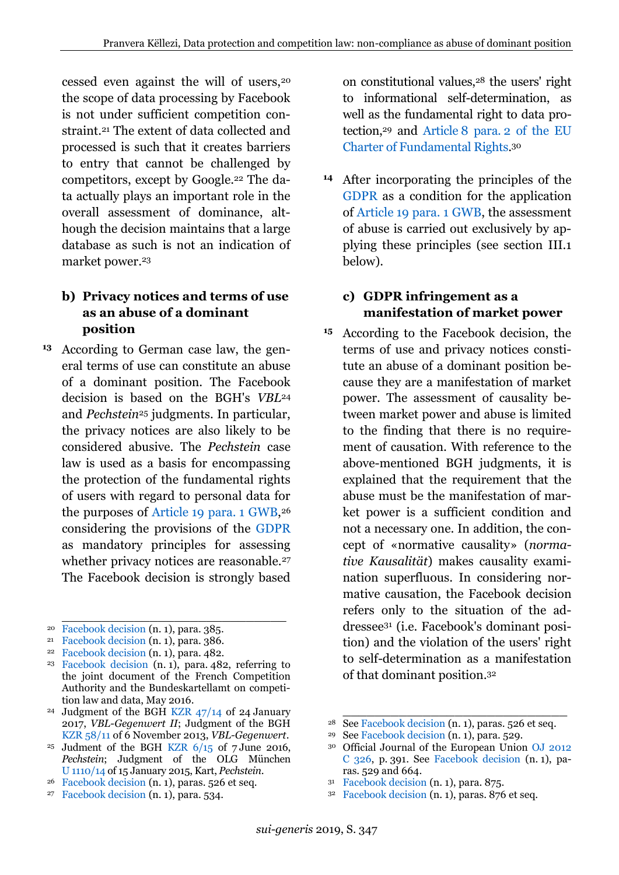cessed even against the will of users,<sup>20</sup> the scope of data processing by Facebook is not under sufficient competition constraint.<sup>21</sup> The extent of data collected and processed is such that it creates barriers to entry that cannot be challenged by competitors, except by Google.<sup>22</sup> The data actually plays an important role in the overall assessment of dominance, although the decision maintains that a large database as such is not an indication of market power.<sup>23</sup>

## **b) Privacy notices and terms of use as an abuse of a dominant position**

<span id="page-4-0"></span>According to German case law, the gen-**13** eral terms of use can constitute an abuse of a dominant position. The Facebook decision is based on the BGH's *VBL*<sup>24</sup> and *Pechstein*<sup>25</sup> judgments. In particular, the privacy notices are also likely to be considered abusive. The *Pechstein* case law is used as a basis for encompassing the protection of the fundamental rights of users with regard to personal data for the purposes of Article [19 para.](https://perma.cc/2WBY-WVD8) 1 GWB, 26 considering the provisions of the [GDPR](https://perma.cc/RX8Z-3CYS) as mandatory principles for assessing whether privacy notices are reasonable.<sup>27</sup> The Facebook decision is strongly based

\_\_\_\_\_\_\_\_\_\_\_\_\_\_\_\_\_\_\_\_\_\_\_\_\_\_\_\_

on constitutional values,<sup>28</sup> the users' right to informational self-determination, as well as the fundamental right to data protection,<sup>29</sup> and Article 8 para. [2 of the EU](https://perma.cc/G8UF-2CXB)  [Charter of Fundamental Rights.](https://perma.cc/G8UF-2CXB) 30

After incorporating the principles of the **14** [GDPR](https://perma.cc/RX8Z-3CYS) as a condition for the application of Article [19 para.](https://perma.cc/2WBY-WVD8) 1 GWB, the assessment of abuse is carried out exclusively by applying these principles (see section III[.1](#page-10-0) below).

## **c) GDPR infringement as a manifestation of market power**

According to the Facebook decision, the **15**terms of use and privacy notices constitute an abuse of a dominant position because they are a manifestation of market power. The assessment of causality between market power and abuse is limited to the finding that there is no requirement of causation. With reference to the above-mentioned BGH judgments, it is explained that the requirement that the abuse must be the manifestation of market power is a sufficient condition and not a necessary one. In addition, the concept of «normative causality» (*normative Kausalität*) makes causality examination superfluous. In considering normative causation, the Facebook decision refers only to the situation of the addressee<sup>31</sup> (i.e. Facebook's dominant position) and the violation of the users' right to self-determination as a manifestation of that dominant position.<sup>32</sup>

\_\_\_\_\_\_\_\_\_\_\_\_\_\_\_\_\_\_\_\_\_\_\_\_\_\_\_\_

<sup>31</sup> [Facebook decision](https://perma.cc/E74K-MEGY) (n. [1\)](#page-1-1), para. 875.

<sup>20</sup> [Facebook decision](https://perma.cc/E74K-MEGY) (n. [1\)](#page-1-1), para. 385.

<sup>21</sup> [Facebook decision](https://perma.cc/E74K-MEGY) (n. [1\)](#page-1-1), para. 386.

<sup>22</sup> [Facebook decision](https://perma.cc/E74K-MEGY) (n. [1\)](#page-1-1), para. 482.

<sup>&</sup>lt;sup>23</sup> [Facebook decision](https://perma.cc/E74K-MEGY)  $(n, 1)$  $(n, 1)$ , para. 482, referring to the joint document of the French Competition Authority and the Bundeskartellamt on competition law and data, May 2016.

<sup>24</sup> Judgment of the BGH [KZR 47/14](http://juris.bundesgerichtshof.de/cgi-bin/rechtsprechung/document.py?Gericht=bgh&Art=en&nr=77833&pos=0&anz=1) of 24 January 2017, *VBL-Gegenwert II*; Judgment of the BGH [KZR 58/11](http://juris.bundesgerichtshof.de/cgi-bin/rechtsprechung/document.py?Gericht=bgh&Art=en&nr=66030&pos=0&anz=1) of 6 November 2013, *VBL-Gegenwert*.

<sup>&</sup>lt;sup>25</sup> Judment of the BGH KZR  $6/15$  of 7 June 2016, *Pechstein*; Judgment of the OLG München U [1110/14](https://perma.cc/VSB6-MNDT) of 15 January 2015, Kart, *Pechstein*.

<sup>26</sup> [Facebook decision](https://perma.cc/E74K-MEGY) (n. [1\)](#page-1-1), paras. 526 et seq.

<sup>27</sup> [Facebook decision](https://perma.cc/E74K-MEGY) (n. [1\)](#page-1-1), para. 534.

<sup>28</sup> Se[e Facebook decision](https://perma.cc/E74K-MEGY) (n. [1\)](#page-1-1), paras. 526 et seq.

<sup>29</sup> Se[e Facebook decision](https://perma.cc/E74K-MEGY) (n. [1\)](#page-1-1), para. 529.

<sup>30</sup> Official Journal of the European Union [OJ 2012](https://perma.cc/LK2Y-WFJB)  [C 326,](https://perma.cc/LK2Y-WFJB) p. 391. See [Facebook decision](https://perma.cc/E74K-MEGY) (n. [1\)](#page-1-1), paras. 529 and 664.

<sup>32</sup> [Facebook decision](https://perma.cc/E74K-MEGY) (n. [1\)](#page-1-1), paras. 876 et seq.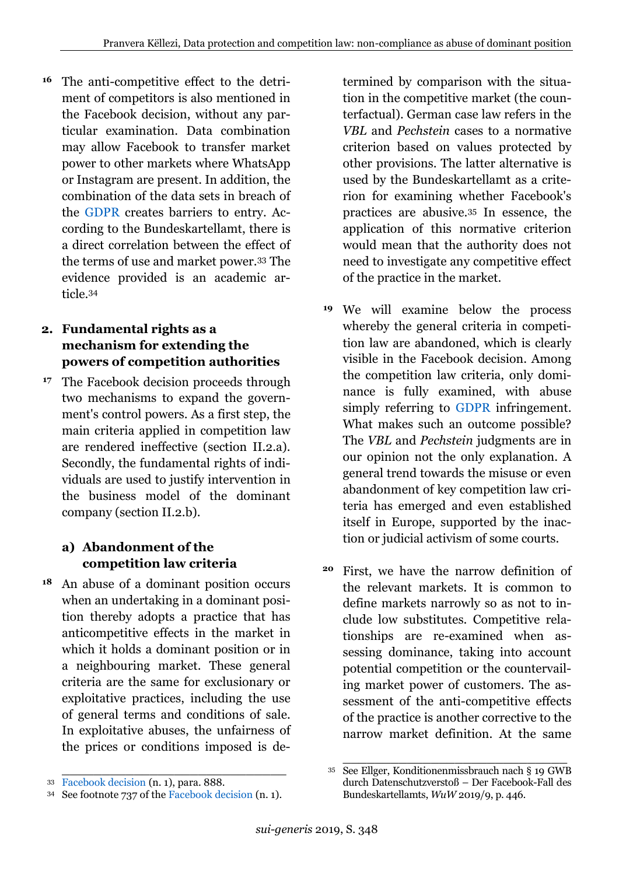The anti-competitive effect to the detriment of competitors is also mentioned in the Facebook decision, without any particular examination. Data combination may allow Facebook to transfer market power to other markets where WhatsApp or Instagram are present. In addition, the combination of the data sets in breach of the [GDPR](https://perma.cc/RX8Z-3CYS) creates barriers to entry. According to the Bundeskartellamt, there is a direct correlation between the effect of the terms of use and market power.<sup>33</sup> The evidence provided is an academic article.<sup>34</sup> **16**

# <span id="page-5-0"></span>**2. Fundamental rights as a mechanism for extending the powers of competition authorities**

<sup>17</sup> The Facebook decision proceeds through two mechanisms to expand the government's control powers. As a first step, the main criteria applied in competition law are rendered ineffective (section II.2.a). Secondly, the fundamental rights of individuals are used to justify intervention in the business model of the dominant company (section II.2.b).

# **a) Abandonment of the competition law criteria**

An abuse of a dominant position occurs when an undertaking in a dominant position thereby adopts a practice that has anticompetitive effects in the market in which it holds a dominant position or in a neighbouring market. These general criteria are the same for exclusionary or exploitative practices, including the use of general terms and conditions of sale. In exploitative abuses, the unfairness of the prices or conditions imposed is de- **18**

\_\_\_\_\_\_\_\_\_\_\_\_\_\_\_\_\_\_\_\_\_\_\_\_\_\_\_\_

termined by comparison with the situation in the competitive market (the counterfactual). German case law refers in the *VBL* and *Pechstein* cases to a normative criterion based on values protected by other provisions. The latter alternative is used by the Bundeskartellamt as a criterion for examining whether Facebook's practices are abusive.<sup>35</sup> In essence, the application of this normative criterion would mean that the authority does not need to investigate any competitive effect of the practice in the market.

- We will examine below the process **19** whereby the general criteria in competition law are abandoned, which is clearly visible in the Facebook decision. Among the competition law criteria, only dominance is fully examined, with abuse simply referring to [GDPR](https://perma.cc/RX8Z-3CYS) infringement. What makes such an outcome possible? The *VBL* and *Pechstein* judgments are in our opinion not the only explanation. A general trend towards the misuse or even abandonment of key competition law criteria has emerged and even established itself in Europe, supported by the inaction or judicial activism of some courts.
- First, we have the narrow definition of **20**the relevant markets. It is common to define markets narrowly so as not to include low substitutes. Competitive relationships are re-examined when assessing dominance, taking into account potential competition or the countervailing market power of customers. The assessment of the anti-competitive effects of the practice is another corrective to the narrow market definition. At the same

<sup>33</sup> [Facebook decision](https://perma.cc/E74K-MEGY) (n. [1\)](#page-1-1), para. 888.

<sup>34</sup> See footnote 737 of the [Facebook decision](https://perma.cc/E74K-MEGY) (n. [1\)](#page-1-1).

\_\_\_\_\_\_\_\_\_\_\_\_\_\_\_\_\_\_\_\_\_\_\_\_\_\_\_\_ <sup>35</sup> See Ellger, Konditionenmissbrauch nach § 19 GWB durch Datenschutzverstoß – Der Facebook-Fall des Bundeskartellamts, *WuW* 2019/9, p. 446.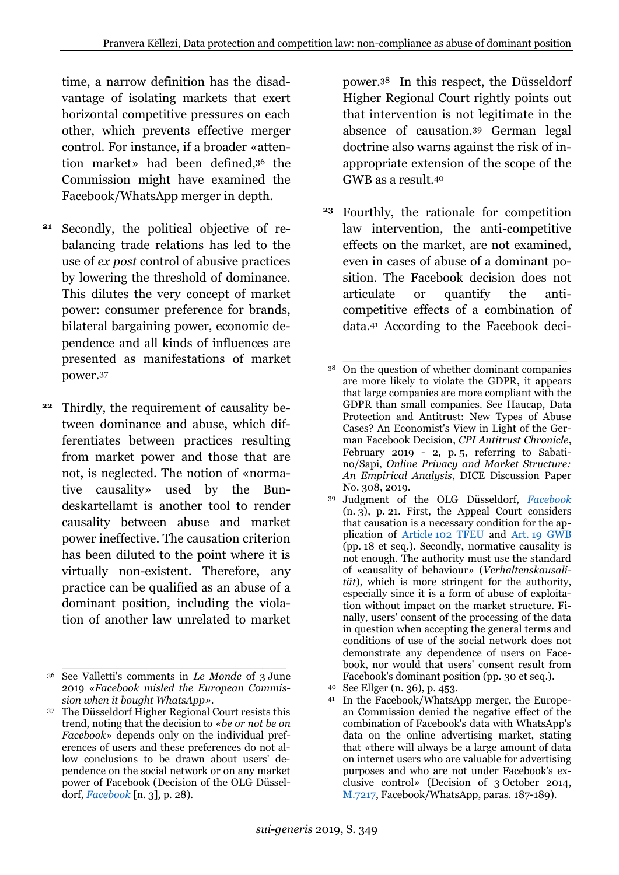time, a narrow definition has the disadvantage of isolating markets that exert horizontal competitive pressures on each other, which prevents effective merger control. For instance, if a broader «attention market» had been defined,<sup>36</sup> the Commission might have examined the Facebook/WhatsApp merger in depth.

- Secondly, the political objective of re-**21** balancing trade relations has led to the use of *ex post* control of abusive practices by lowering the threshold of dominance. This dilutes the very concept of market power: consumer preference for brands, bilateral bargaining power, economic dependence and all kinds of influences are presented as manifestations of market power.<sup>37</sup>
- Thirdly, the requirement of causality between dominance and abuse, which differentiates between practices resulting from market power and those that are not, is neglected. The notion of «normative causality» used by the Bundeskartellamt is another tool to render causality between abuse and market power ineffective. The causation criterion has been diluted to the point where it is virtually non-existent. Therefore, any practice can be qualified as an abuse of a dominant position, including the violation of another law unrelated to market **22**

power.38 In this respect, the Düsseldorf Higher Regional Court rightly points out that intervention is not legitimate in the absence of causation.<sup>39</sup> German legal doctrine also warns against the risk of inappropriate extension of the scope of the GWB as a result.<sup>40</sup>

<span id="page-6-0"></span>Fourthly, the rationale for competition **23**law intervention, the anti-competitive effects on the market, are not examined, even in cases of abuse of a dominant position. The Facebook decision does not articulate or quantify the anticompetitive effects of a combination of data.<sup>41</sup> According to the Facebook deci-

\_\_\_\_\_\_\_\_\_\_\_\_\_\_\_\_\_\_\_\_\_\_\_\_\_\_\_\_ <sup>36</sup> See Valletti's comments in *Le Monde* of 3 June 2019 *«Facebook misled the European Commission when it bought WhatsApp»*.

<sup>37</sup> The Düsseldorf Higher Regional Court resists this trend, noting that the decision to *«be or not be on Facebook*» depends only on the individual preferences of users and these preferences do not allow conclusions to be drawn about users' dependence on the social network or on any market power of Facebook (Decision of the OLG Düsseldorf, *[Facebook](https://perma.cc/X8NZ-EQ65)* [n. [3\]](#page-1-0)*,* p. 28).

\_\_\_\_\_\_\_\_\_\_\_\_\_\_\_\_\_\_\_\_\_\_\_\_\_\_\_\_ <sup>38</sup> On the question of whether dominant companies are more likely to violate the GDPR, it appears that large companies are more compliant with the GDPR than small companies. See Haucap, Data Protection and Antitrust: New Types of Abuse Cases? An Economist's View in Light of the German Facebook Decision, *CPI Antitrust Chronicle*, February 2019 - 2, p. 5, referring to Sabatino/Sapi, *Online Privacy and Market Structure: An Empirical Analysis*, DICE Discussion Paper No. 308, 2019.

<sup>39</sup> Judgment of the OLG Düsseldorf, *[Facebook](https://perma.cc/X8NZ-EQ65)*  $(n, 3)$  $(n, 3)$ , p. 21. First, the Appeal Court considers that causation is a necessary condition for the application of Article [102 TFEU](https://perma.cc/Z2YR-R34B) and Art. [19 GWB](https://perma.cc/2WBY-WVD8) (pp. 18 et seq.). Secondly, normative causality is not enough. The authority must use the standard of «causality of behaviour» (*Verhaltenskausalität*), which is more stringent for the authority, especially since it is a form of abuse of exploitation without impact on the market structure. Finally, users' consent of the processing of the data in question when accepting the general terms and conditions of use of the social network does not demonstrate any dependence of users on Facebook, nor would that users' consent result from Facebook's dominant position (pp. 30 et seq.).

<sup>40</sup> See Ellger (n. [36\)](#page-6-0), p. 453.

<sup>41</sup> In the Facebook/WhatsApp merger, the European Commission denied the negative effect of the combination of Facebook's data with WhatsApp's data on the online advertising market, stating that «there will always be a large amount of data on internet users who are valuable for advertising purposes and who are not under Facebook's exclusive control» (Decision of 3 October 2014, [M.7217,](https://perma.cc/2U66-2E48) Facebook/WhatsApp, paras. 187-189).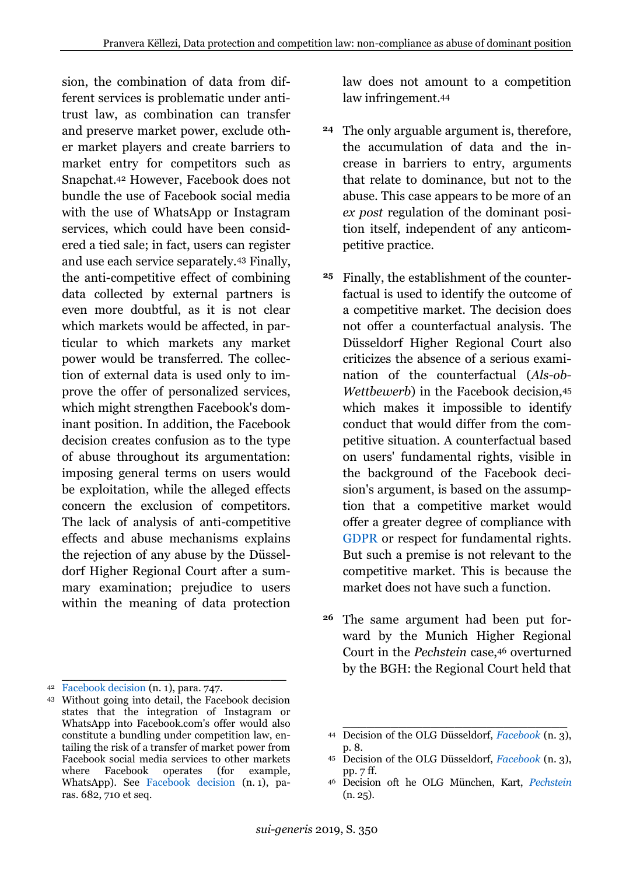sion, the combination of data from different services is problematic under antitrust law, as combination can transfer and preserve market power, exclude other market players and create barriers to market entry for competitors such as Snapchat.<sup>42</sup> However, Facebook does not bundle the use of Facebook social media with the use of WhatsApp or Instagram services, which could have been considered a tied sale; in fact, users can register and use each service separately.<sup>43</sup> Finally, the anti-competitive effect of combining data collected by external partners is even more doubtful, as it is not clear which markets would be affected, in particular to which markets any market power would be transferred. The collection of external data is used only to improve the offer of personalized services, which might strengthen Facebook's dominant position. In addition, the Facebook decision creates confusion as to the type of abuse throughout its argumentation: imposing general terms on users would be exploitation, while the alleged effects concern the exclusion of competitors. The lack of analysis of anti-competitive effects and abuse mechanisms explains the rejection of any abuse by the Düsseldorf Higher Regional Court after a summary examination; prejudice to users within the meaning of data protection

\_\_\_\_\_\_\_\_\_\_\_\_\_\_\_\_\_\_\_\_\_\_\_\_\_\_\_\_

law does not amount to a competition law infringement.<sup>44</sup>

- The only arguable argument is, therefore, **24** the accumulation of data and the increase in barriers to entry, arguments that relate to dominance, but not to the abuse. This case appears to be more of an *ex post* regulation of the dominant position itself, independent of any anticompetitive practice.
- Finally, the establishment of the counter-**25** factual is used to identify the outcome of a competitive market. The decision does not offer a counterfactual analysis. The Düsseldorf Higher Regional Court also criticizes the absence of a serious examination of the counterfactual (*Als-ob-Wettbewerb*) in the Facebook decision,<sup>45</sup> which makes it impossible to identify conduct that would differ from the competitive situation. A counterfactual based on users' fundamental rights, visible in the background of the Facebook decision's argument, is based on the assumption that a competitive market would offer a greater degree of compliance with [GDPR](https://perma.cc/RX8Z-3CYS) or respect for fundamental rights. But such a premise is not relevant to the competitive market. This is because the market does not have such a function.
- The same argument had been put forward by the Munich Higher Regional Court in the *Pechstein* case,<sup>46</sup> overturned by the BGH: the Regional Court held that **26**

<sup>42</sup> [Facebook decision](https://perma.cc/E74K-MEGY) (n. [1\)](#page-1-1), para. 747.

<sup>43</sup> Without going into detail, the Facebook decision states that the integration of Instagram or WhatsApp into Facebook.com's offer would also constitute a bundling under competition law, entailing the risk of a transfer of market power from Facebook social media services to other markets where Facebook operates (for example, WhatsApp). See [Facebook decision](https://perma.cc/E74K-MEGY) (n. [1\)](#page-1-1), paras. 682, 710 et seq.

<sup>44</sup> Decision of the OLG Düsseldorf, *[Facebook](https://perma.cc/X8NZ-EQ65)* (n. [3\)](#page-1-0), p. 8.

<sup>45</sup> Decision of the OLG Düsseldorf, *[Facebook](https://perma.cc/X8NZ-EQ65)* (n. [3\)](#page-1-0), pp. 7 ff.

<sup>46</sup> Decision oft he OLG München, Kart, *[Pechstein](https://perma.cc/VSB6-MNDT)* (n. [25\)](#page-4-0).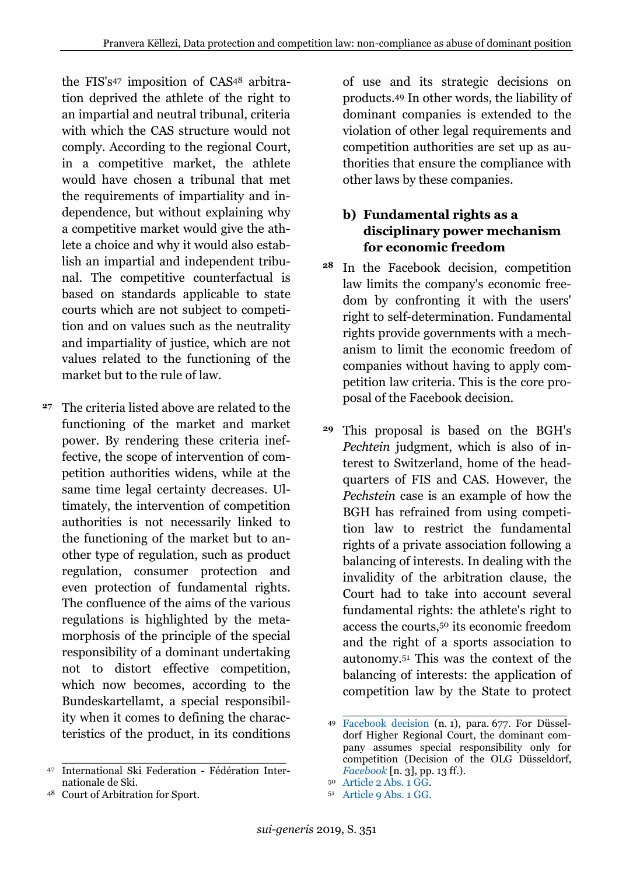the FIS's<sup>47</sup> imposition of CAS<sup>48</sup> arbitration deprived the athlete of the right to an impartial and neutral tribunal, criteria with which the CAS structure would not comply. According to the regional Court, in a competitive market, the athlete would have chosen a tribunal that met the requirements of impartiality and independence, but without explaining why a competitive market would give the athlete a choice and why it would also establish an impartial and independent tribunal. The competitive counterfactual is based on standards applicable to state courts which are not subject to competition and on values such as the neutrality and impartiality of justice, which are not values related to the functioning of the market but to the rule of law.

The criteria listed above are related to the functioning of the market and market power. By rendering these criteria ineffective, the scope of intervention of competition authorities widens, while at the same time legal certainty decreases. Ultimately, the intervention of competition authorities is not necessarily linked to the functioning of the market but to another type of regulation, such as product regulation, consumer protection and even protection of fundamental rights. The confluence of the aims of the various regulations is highlighted by the metamorphosis of the principle of the special responsibility of a dominant undertaking not to distort effective competition, which now becomes, according to the Bundeskartellamt, a special responsibility when it comes to defining the characteristics of the product, in its conditions **27**

\_\_\_\_\_\_\_\_\_\_\_\_\_\_\_\_\_\_\_\_\_\_\_\_\_\_\_\_

of use and its strategic decisions on products.<sup>49</sup> In other words, the liability of dominant companies is extended to the violation of other legal requirements and competition authorities are set up as authorities that ensure the compliance with other laws by these companies.

#### **b) Fundamental rights as a disciplinary power mechanism for economic freedom**

- <sup>28</sup> In the Facebook decision, competition law limits the company's economic freedom by confronting it with the users' right to self-determination. Fundamental rights provide governments with a mechanism to limit the economic freedom of companies without having to apply competition law criteria. This is the core proposal of the Facebook decision.
- This proposal is based on the BGH's **29***Pechtein* judgment, which is also of interest to Switzerland, home of the headquarters of FIS and CAS. However, the *Pechstein* case is an example of how the BGH has refrained from using competition law to restrict the fundamental rights of a private association following a balancing of interests. In dealing with the invalidity of the arbitration clause, the Court had to take into account several fundamental rights: the athlete's right to access the courts,<sup>50</sup> its economic freedom and the right of a sports association to autonomy.<sup>51</sup> This was the context of the balancing of interests: the application of competition law by the State to protect

<sup>47</sup> International Ski Federation - Fédération Internationale de Ski.

<sup>48</sup> Court of Arbitration for Sport.

\_\_\_\_\_\_\_\_\_\_\_\_\_\_\_\_\_\_\_\_\_\_\_\_\_\_\_\_ <sup>49</sup> [Facebook decision](https://perma.cc/E74K-MEGY) (n. [1\)](#page-1-1), para. 677. For Düsseldorf Higher Regional Court, the dominant company assumes special responsibility only for competition (Decision of the OLG Düsseldorf, *[Facebook](https://perma.cc/X8NZ-EQ65)* [n. [3\]](#page-1-0), pp. 13 ff.).

<sup>50</sup> [Article 2 Abs. 1 GG.](https://perma.cc/L5Z4-BWU5)

<sup>51</sup> [Article 9 Abs. 1 GG.](https://perma.cc/2F5F-NZF6)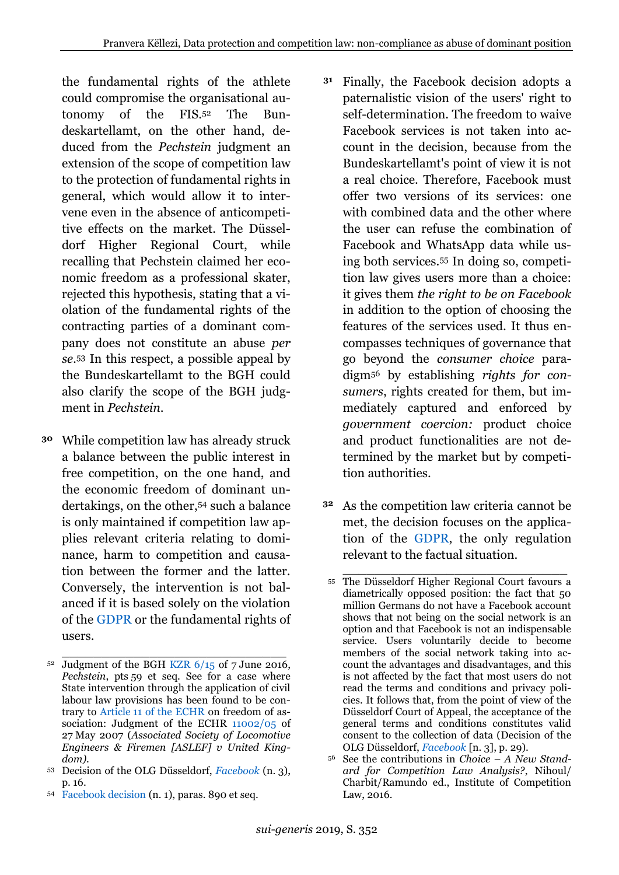<span id="page-9-0"></span>the fundamental rights of the athlete could compromise the organisational autonomy of the FIS.<sup>52</sup> The Bundeskartellamt, on the other hand, deduced from the *Pechstein* judgment an extension of the scope of competition law to the protection of fundamental rights in general, which would allow it to intervene even in the absence of anticompetitive effects on the market. The Düsseldorf Higher Regional Court, while recalling that Pechstein claimed her economic freedom as a professional skater, rejected this hypothesis, stating that a violation of the fundamental rights of the contracting parties of a dominant company does not constitute an abuse *per se.*<sup>53</sup> In this respect, a possible appeal by the Bundeskartellamt to the BGH could also clarify the scope of the BGH judgment in *Pechstein*.

While competition law has already struck **30** a balance between the public interest in free competition, on the one hand, and the economic freedom of dominant undertakings, on the other,<sup>54</sup> such a balance is only maintained if competition law applies relevant criteria relating to dominance, harm to competition and causation between the former and the latter. Conversely, the intervention is not balanced if it is based solely on the violation of the [GDPR](https://perma.cc/RX8Z-3CYS) or the fundamental rights of users.

- Finally, the Facebook decision adopts a paternalistic vision of the users' right to self-determination. The freedom to waive Facebook services is not taken into account in the decision, because from the Bundeskartellamt's point of view it is not a real choice. Therefore, Facebook must offer two versions of its services: one with combined data and the other where the user can refuse the combination of Facebook and WhatsApp data while using both services.<sup>55</sup> In doing so, competition law gives users more than a choice: it gives them *the right to be on Facebook*  in addition to the option of choosing the features of the services used. It thus encompasses techniques of governance that go beyond the *consumer choice* paradigm<sup>56</sup> by establishing *rights for consumers*, rights created for them, but immediately captured and enforced by *government coercion:* product choice and product functionalities are not determined by the market but by competition authorities. **31**
- As the competition law criteria cannot be **32**met, the decision focuses on the application of the [GDPR,](https://perma.cc/RX8Z-3CYS) the only regulation relevant to the factual situation.

\_\_\_\_\_\_\_\_\_\_\_\_\_\_\_\_\_\_\_\_\_\_\_\_\_\_\_\_  $52$  Judgment of the BGH KZR  $6/15$  of 7 June 2016, *Pechstein*, pts 59 et seq. See for a case where State intervention through the application of civil labour law provisions has been found to be contrary to Article [11 of the ECHR](https://perma.cc/N8H5-VBRL) on freedom of as-sociation: Judgment of the ECHR [11002/05](https://perma.cc/UMP7-4FTQ) of 27 May 2007 (*Associated Society of Locomotive Engineers & Firemen [ASLEF] v United Kingdom)*.

<sup>53</sup> Decision of the OLG Düsseldorf, *[Facebook](https://perma.cc/X8NZ-EQ65)* (n. [3\)](#page-1-0), p. 16.

<sup>54</sup> [Facebook decision](https://perma.cc/E74K-MEGY) (n. [1\)](#page-1-1), paras. 890 et seq.

\_\_\_\_\_\_\_\_\_\_\_\_\_\_\_\_\_\_\_\_\_\_\_\_\_\_\_\_ <sup>55</sup> The Düsseldorf Higher Regional Court favours a diametrically opposed position: the fact that 50 million Germans do not have a Facebook account shows that not being on the social network is an option and that Facebook is not an indispensable service. Users voluntarily decide to become members of the social network taking into account the advantages and disadvantages, and this is not affected by the fact that most users do not read the terms and conditions and privacy policies. It follows that, from the point of view of the Düsseldorf Court of Appeal, the acceptance of the general terms and conditions constitutes valid consent to the collection of data (Decision of the OLG Düsseldorf, *[Facebook](https://perma.cc/X8NZ-EQ65)* [n. [3\]](#page-1-0), p. 29).

<sup>56</sup> See the contributions in *Choice – A New Standard for Competition Law Analysis?*, Nihoul/ Charbit/Ramundo ed., Institute of Competition Law, 2016.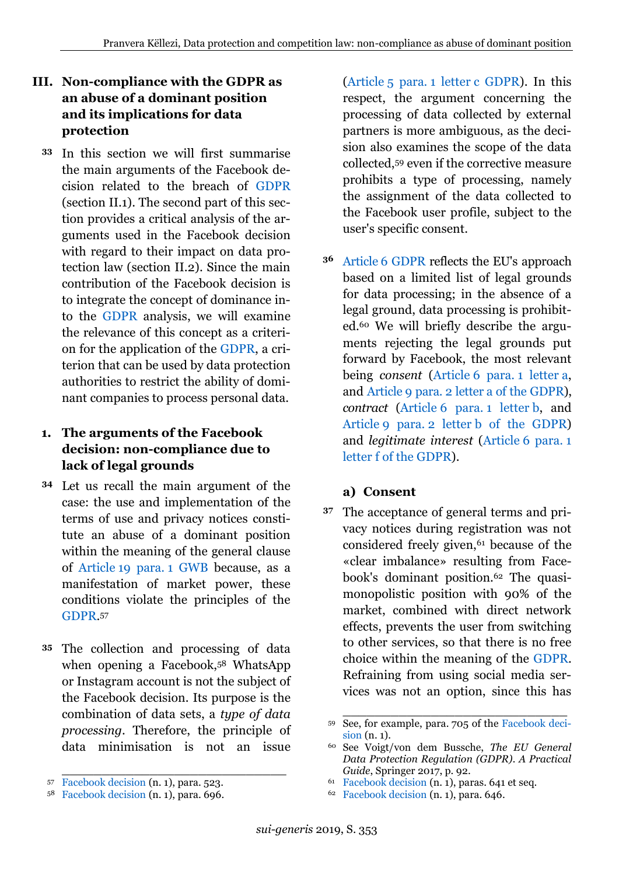# **III. Non-compliance with the GDPR as an abuse of a dominant position and its implications for data protection**

In this section we will first summarise **33** the main arguments of the Facebook decision related to the breach of [GDPR](https://perma.cc/RX8Z-3CYS) (section II.1). The second part of this section provides a critical analysis of the arguments used in the Facebook decision with regard to their impact on data protection law (section II.2). Since the main contribution of the Facebook decision is to integrate the concept of dominance into the [GDPR](https://perma.cc/RX8Z-3CYS) analysis, we will examine the relevance of this concept as a criterion for the application of the [GDPR,](https://perma.cc/RX8Z-3CYS) a criterion that can be used by data protection authorities to restrict the ability of dominant companies to process personal data.

#### <span id="page-10-0"></span>**1. The arguments of the Facebook decision: non-compliance due to lack of legal grounds**

- Let us recall the main argument of the **34** case: the use and implementation of the terms of use and privacy notices constitute an abuse of a dominant position within the meaning of the general clause of Article [19 para.](https://perma.cc/2WBY-WVD8) 1 GWB because, as a manifestation of market power, these conditions violate the principles of the [GDPR.](https://perma.cc/RX8Z-3CYS) 57
- The collection and processing of data **35** when opening a Facebook,<sup>58</sup> WhatsApp or Instagram account is not the subject of the Facebook decision. Its purpose is the combination of data sets, a *type of data processing*. Therefore, the principle of data minimisation is not an issue

(Article 5 para. 1 letter [c GDPR\)](https://perma.cc/Z3TN-DVGK). In this respect, the argument concerning the processing of data collected by external partners is more ambiguous, as the decision also examines the scope of the data collected,<sup>59</sup> even if the corrective measure prohibits a type of processing, namely the assignment of the data collected to the Facebook user profile, subject to the user's specific consent.

Article [6 GDPR](https://perma.cc/ZKJ5-WDTV) reflects the EU's approach **36** based on a limited list of legal grounds for data processing; in the absence of a legal ground, data processing is prohibited.<sup>60</sup> We will briefly describe the arguments rejecting the legal grounds put forward by Facebook, the most relevant being *consent* (Article [6 para.](https://perma.cc/ZKJ5-WDTV) 1 letter a, and Article 9 para. 2 letter [a of the GDPR\)](https://perma.cc/JLV3-QCGA), *contract* (Article [6 para.](https://perma.cc/ZKJ5-WDTV) 1 letter b, and Article 9 para. 2 letter [b of the GDPR\)](https://perma.cc/JLV3-QCGA) and *legitimate interest* (Article [6 para.](https://perma.cc/ZKJ5-WDTV) 1 letter [f of the GDPR\)](https://perma.cc/ZKJ5-WDTV).

#### **a) Consent**

The acceptance of general terms and pri-**37**vacy notices during registration was not considered freely given,<sup>61</sup> because of the «clear imbalance» resulting from Facebook's dominant position.<sup>62</sup> The quasimonopolistic position with 90% of the market, combined with direct network effects, prevents the user from switching to other services, so that there is no free choice within the meaning of the [GDPR.](https://perma.cc/RX8Z-3CYS) Refraining from using social media services was not an option, since this has

\_\_\_\_\_\_\_\_\_\_\_\_\_\_\_\_\_\_\_\_\_\_\_\_\_\_\_\_ <sup>57</sup> [Facebook decision](https://perma.cc/E74K-MEGY) (n. [1\)](#page-1-1), para. 523.

<sup>58</sup> [Facebook decision](https://perma.cc/E74K-MEGY) (n. [1\)](#page-1-1), para. 696.

<sup>59</sup> See, for example, para. 705 of the [Facebook deci](https://perma.cc/E74K-MEGY)[sion](https://perma.cc/E74K-MEGY) (n. [1\)](#page-1-1).

<sup>60</sup> See Voigt/von dem Bussche, *The EU General Data Protection Regulation (GDPR). A Practical Guide*, Springer 2017, p. 92.

<sup>61</sup> [Facebook decision](https://perma.cc/E74K-MEGY) (n. [1\)](#page-1-1), paras. 641 et seq.

<sup>62</sup> [Facebook decision](https://perma.cc/E74K-MEGY) (n. [1\)](#page-1-1), para. 646.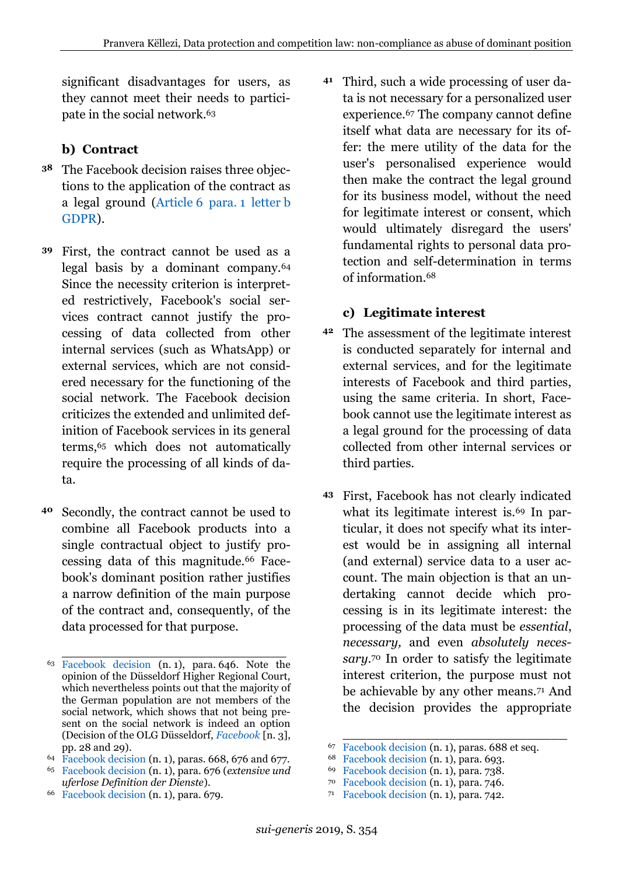significant disadvantages for users, as they cannot meet their needs to participate in the social network.<sup>63</sup>

## **b) Contract**

- The Facebook decision raises three objec-**38** tions to the application of the contract as a legal ground (Article [6 para.](https://perma.cc/ZKJ5-WDTV) 1 letter b [GDPR\)](https://perma.cc/ZKJ5-WDTV).
- First, the contract cannot be used as a **39** legal basis by a dominant company.<sup>64</sup> Since the necessity criterion is interpreted restrictively, Facebook's social services contract cannot justify the processing of data collected from other internal services (such as WhatsApp) or external services, which are not considered necessary for the functioning of the social network. The Facebook decision criticizes the extended and unlimited definition of Facebook services in its general terms,<sup>65</sup> which does not automatically require the processing of all kinds of data.
- Secondly, the contract cannot be used to combine all Facebook products into a single contractual object to justify processing data of this magnitude.<sup>66</sup> Facebook's dominant position rather justifies a narrow definition of the main purpose of the contract and, consequently, of the data processed for that purpose. **40**

<sup>64</sup> [Facebook decision](https://perma.cc/E74K-MEGY) (n. [1\)](#page-1-1), paras. 668, 676 and 677.

<sup>66</sup> [Facebook decision](https://perma.cc/E74K-MEGY) (n. [1\)](#page-1-1), para. 679.

Third, such a wide processing of user da-**41** ta is not necessary for a personalized user experience.<sup>67</sup> The company cannot define itself what data are necessary for its offer: the mere utility of the data for the user's personalised experience would then make the contract the legal ground for its business model, without the need for legitimate interest or consent, which would ultimately disregard the users' fundamental rights to personal data protection and self-determination in terms of information.<sup>68</sup>

#### **c) Legitimate interest**

- The assessment of the legitimate interest **42** is conducted separately for internal and external services, and for the legitimate interests of Facebook and third parties, using the same criteria. In short, Facebook cannot use the legitimate interest as a legal ground for the processing of data collected from other internal services or third parties.
- First, Facebook has not clearly indicated **43**what its legitimate interest is.<sup>69</sup> In particular, it does not specify what its interest would be in assigning all internal (and external) service data to a user account. The main objection is that an undertaking cannot decide which processing is in its legitimate interest: the processing of the data must be *essential*, *necessary,* and even *absolutely necessary.*<sup>70</sup> In order to satisfy the legitimate interest criterion, the purpose must not be achievable by any other means.<sup>71</sup> And the decision provides the appropriate

- <sup>70</sup> [Facebook decision](https://perma.cc/E74K-MEGY) (n. [1\)](#page-1-1), para. 746.
- <sup>71</sup> [Facebook decision](https://perma.cc/E74K-MEGY) (n. [1\)](#page-1-1), para. 742.

\_\_\_\_\_\_\_\_\_\_\_\_\_\_\_\_\_\_\_\_\_\_\_\_\_\_\_\_ <sup>63</sup> [Facebook decision](https://perma.cc/E74K-MEGY) (n. [1\)](#page-1-1), para. 646. Note the opinion of the Düsseldorf Higher Regional Court, which nevertheless points out that the majority of the German population are not members of the social network, which shows that not being present on the social network is indeed an option (Decision of the OLG Düsseldorf, *[Facebook](https://perma.cc/X8NZ-EQ65)* [n. [3\]](#page-1-0), pp. 28 and 29).

<sup>65</sup> [Facebook decision](https://perma.cc/E74K-MEGY) (n. [1\)](#page-1-1), para. 676 (*extensive und uferlose Definition der Dienste*).

\_\_\_\_\_\_\_\_\_\_\_\_\_\_\_\_\_\_\_\_\_\_\_\_\_\_\_\_ <sup>67</sup> [Facebook decision](https://perma.cc/E74K-MEGY) (n. [1\)](#page-1-1), paras. 688 et seq.

<sup>68</sup> [Facebook decision](https://perma.cc/E74K-MEGY) (n. [1\)](#page-1-1), para. 693.

<sup>69</sup> [Facebook decision](https://perma.cc/E74K-MEGY) (n. [1\)](#page-1-1), para. 738.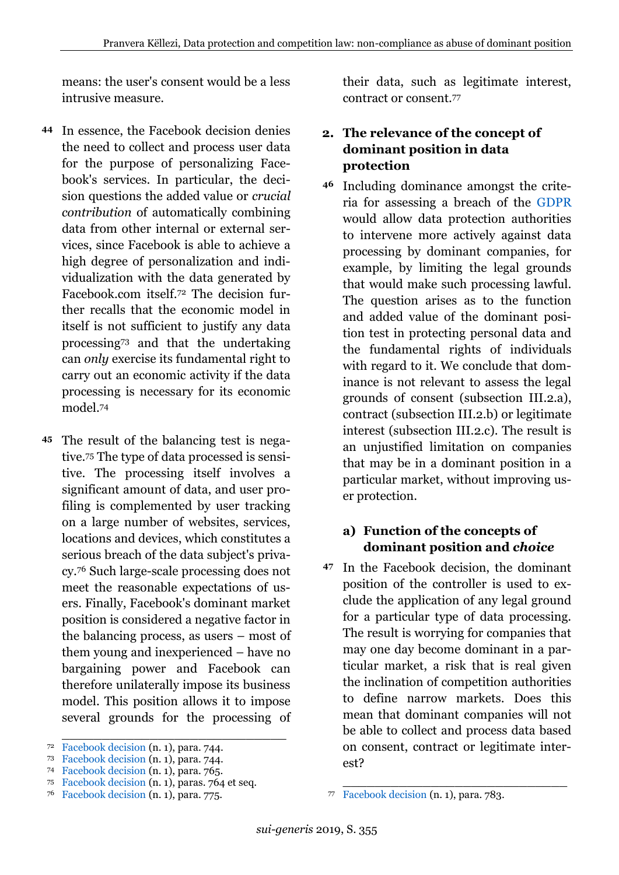means: the user's consent would be a less intrusive measure.

- In essence, the Facebook decision denies **44** the need to collect and process user data for the purpose of personalizing Facebook's services. In particular, the decision questions the added value or *crucial contribution* of automatically combining data from other internal or external services, since Facebook is able to achieve a high degree of personalization and individualization with the data generated by Facebook.com itself.<sup>72</sup> The decision further recalls that the economic model in itself is not sufficient to justify any data processing<sup>73</sup> and that the undertaking can *only* exercise its fundamental right to carry out an economic activity if the data processing is necessary for its economic model.<sup>74</sup>
- The result of the balancing test is nega-**45** tive.<sup>75</sup> The type of data processed is sensitive. The processing itself involves a significant amount of data, and user profiling is complemented by user tracking on a large number of websites, services, locations and devices, which constitutes a serious breach of the data subject's privacy.<sup>76</sup> Such large-scale processing does not meet the reasonable expectations of users. Finally, Facebook's dominant market position is considered a negative factor in the balancing process, as users – most of them young and inexperienced – have no bargaining power and Facebook can therefore unilaterally impose its business model. This position allows it to impose several grounds for the processing of

\_\_\_\_\_\_\_\_\_\_\_\_\_\_\_\_\_\_\_\_\_\_\_\_\_\_\_\_

their data, such as legitimate interest, contract or consent.<sup>77</sup>

#### <span id="page-12-0"></span>**2. The relevance of the concept of dominant position in data protection**

Including dominance amongst the crite-**46** ria for assessing a breach of the [GDPR](https://perma.cc/RX8Z-3CYS) would allow data protection authorities to intervene more actively against data processing by dominant companies, for example, by limiting the legal grounds that would make such processing lawful. The question arises as to the function and added value of the dominant position test in protecting personal data and the fundamental rights of individuals with regard to it. We conclude that dominance is not relevant to assess the legal grounds of consent (subsection III.2.a), contract (subsection III.2.b) or legitimate interest (subsection III.2.c). The result is an unjustified limitation on companies that may be in a dominant position in a particular market, without improving user protection.

#### **a) Function of the concepts of dominant position and** *choice*

In the Facebook decision, the dominant **47**position of the controller is used to exclude the application of any legal ground for a particular type of data processing. The result is worrying for companies that may one day become dominant in a particular market, a risk that is real given the inclination of competition authorities to define narrow markets. Does this mean that dominant companies will not be able to collect and process data based on consent, contract or legitimate interest?

<sup>72</sup> [Facebook decision](https://perma.cc/E74K-MEGY) (n. [1\)](#page-1-1), para. 744.

<sup>73</sup> [Facebook decision](https://perma.cc/E74K-MEGY) (n. [1\)](#page-1-1), para. 744.

<sup>74</sup> [Facebook decision](https://perma.cc/E74K-MEGY) (n. [1\)](#page-1-1), para. 765.

<sup>75</sup> [Facebook decision](https://perma.cc/E74K-MEGY) (n. [1\)](#page-1-1), paras. 764 et seq.

<sup>76</sup> [Facebook decision](https://perma.cc/E74K-MEGY) (n. [1\)](#page-1-1), para. 775.

\_\_\_\_\_\_\_\_\_\_\_\_\_\_\_\_\_\_\_\_\_\_\_\_\_\_\_\_ <sup>77</sup> [Facebook decision](https://perma.cc/E74K-MEGY) (n. [1\)](#page-1-1), para. 783.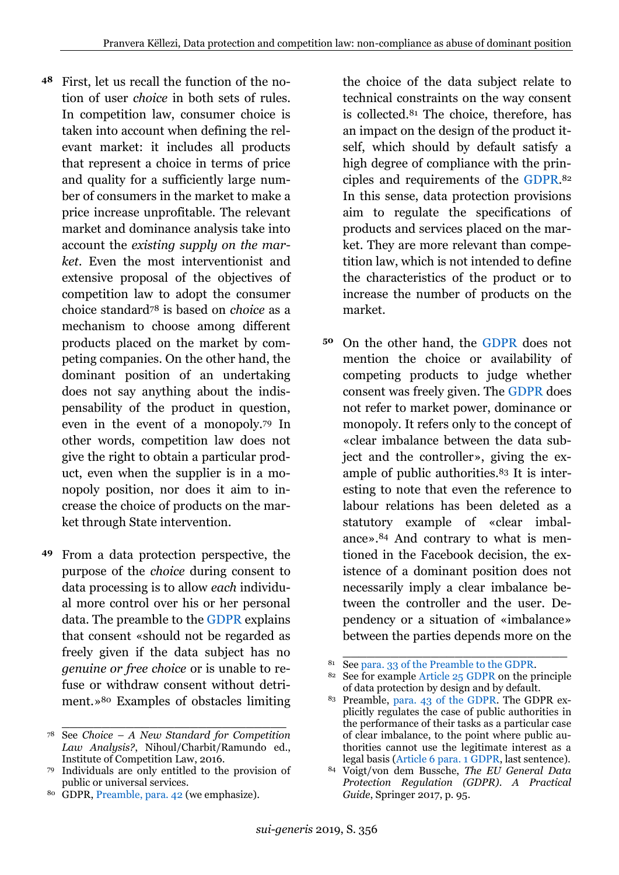- First, let us recall the function of the notion of user *choice* in both sets of rules. In competition law, consumer choice is taken into account when defining the relevant market: it includes all products that represent a choice in terms of price and quality for a sufficiently large number of consumers in the market to make a price increase unprofitable. The relevant market and dominance analysis take into account the *existing supply on the market*. Even the most interventionist and extensive proposal of the objectives of competition law to adopt the consumer choice standard<sup>78</sup> is based on *choice* as a mechanism to choose among different products placed on the market by competing companies. On the other hand, the dominant position of an undertaking does not say anything about the indispensability of the product in question, even in the event of a monopoly.<sup>79</sup> In other words, competition law does not give the right to obtain a particular product, even when the supplier is in a monopoly position, nor does it aim to increase the choice of products on the market through State intervention. **48**
- From a data protection perspective, the **49** purpose of the *choice* during consent to data processing is to allow *each* individual more control over his or her personal data. The preamble to the [GDPR](https://perma.cc/RX8Z-3CYS) explains that consent «should not be regarded as freely given if the data subject has no *genuine or free choice* or is unable to refuse or withdraw consent without detriment.»<sup>80</sup> Examples of obstacles limiting

\_\_\_\_\_\_\_\_\_\_\_\_\_\_\_\_\_\_\_\_\_\_\_\_\_\_\_\_

the choice of the data subject relate to technical constraints on the way consent is collected.<sup>81</sup> The choice, therefore, has an impact on the design of the product itself, which should by default satisfy a high degree of compliance with the principles and requirements of the [GDPR.](https://perma.cc/RX8Z-3CYS) 82 In this sense, data protection provisions aim to regulate the specifications of products and services placed on the market. They are more relevant than competition law, which is not intended to define the characteristics of the product or to increase the number of products on the market.

- On the other hand, the [GDPR](https://perma.cc/RX8Z-3CYS) does not **50**mention the choice or availability of competing products to judge whether consent was freely given. The [GDPR](https://perma.cc/RX8Z-3CYS) does not refer to market power, dominance or monopoly. It refers only to the concept of «clear imbalance between the data subject and the controller», giving the example of public authorities.<sup>83</sup> It is interesting to note that even the reference to labour relations has been deleted as a statutory example of «clear imbalance». <sup>84</sup> And contrary to what is mentioned in the Facebook decision, the existence of a dominant position does not necessarily imply a clear imbalance between the controller and the user. Dependency or a situation of «imbalance» between the parties depends more on the
- \_\_\_\_\_\_\_\_\_\_\_\_\_\_\_\_\_\_\_\_\_\_\_\_\_\_\_\_ <sup>81</sup> Se[e para. 33 of the Preamble to the GDPR.](https://perma.cc/U5RZ-52RL)

<sup>78</sup> See *Choice – A New Standard for Competition Law Analysis?*, Nihoul/Charbit/Ramundo ed., Institute of Competition Law, 2016.

<sup>79</sup> Individuals are only entitled to the provision of public or universal services.

<sup>80</sup> GDPR[, Preamble, para. 42](https://perma.cc/29UP-9TUE) (we emphasize).

<sup>82</sup> See for example Article [25 GDPR](https://perma.cc/M6X6-95YA) on the principle of data protection by design and by default.

<sup>83</sup> Preamble, [para. 43 of the GDPR.](https://perma.cc/2ZTX-2AED) The GDPR explicitly regulates the case of public authorities in the performance of their tasks as a particular case of clear imbalance, to the point where public authorities cannot use the legitimate interest as a legal basis (Article [6 para. 1 GDPR,](https://perma.cc/ZKJ5-WDTV) last sentence).

<sup>84</sup> Voigt/von dem Bussche, *The EU General Data Protection Regulation (GDPR). A Practical Guide*, Springer 2017, p. 95.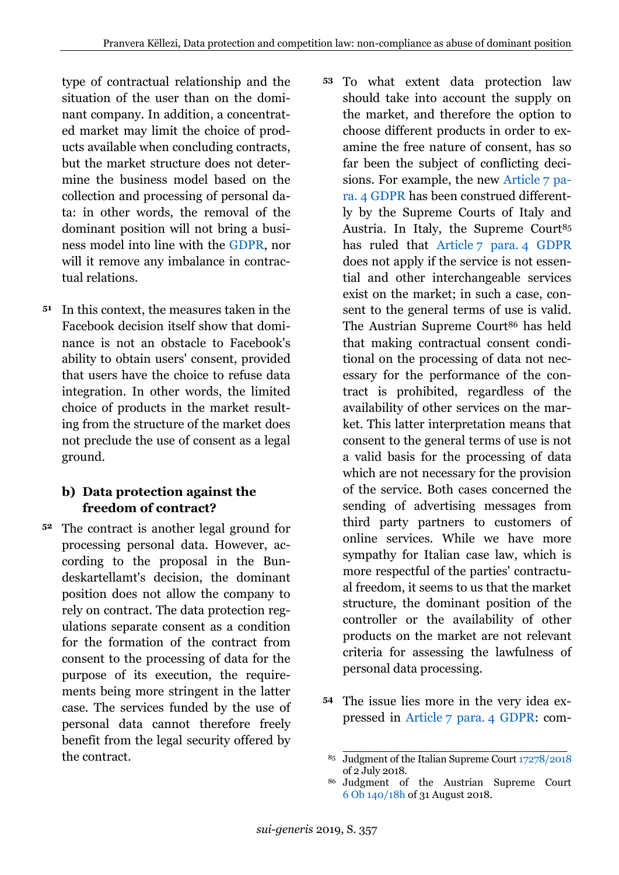type of contractual relationship and the situation of the user than on the dominant company. In addition, a concentrated market may limit the choice of products available when concluding contracts, but the market structure does not determine the business model based on the collection and processing of personal data: in other words, the removal of the dominant position will not bring a business model into line with the [GDPR,](https://perma.cc/RX8Z-3CYS) nor will it remove any imbalance in contractual relations.

In this context, the measures taken in the **51** Facebook decision itself show that dominance is not an obstacle to Facebook's ability to obtain users' consent, provided that users have the choice to refuse data integration. In other words, the limited choice of products in the market resulting from the structure of the market does not preclude the use of consent as a legal ground.

# **b) Data protection against the freedom of contract?**

- The contract is another legal ground for processing personal data. However, according to the proposal in the Bundeskartellamt's decision, the dominant position does not allow the company to rely on contract. The data protection regulations separate consent as a condition for the formation of the contract from consent to the processing of data for the purpose of its execution, the requirements being more stringent in the latter case. The services funded by the use of personal data cannot therefore freely benefit from the legal security offered by the contract. **52**
- To what extent data protection law **53** should take into account the supply on the market, and therefore the option to choose different products in order to examine the free nature of consent, has so far been the subject of conflicting decisions. For example, the new [Article](https://perma.cc/YXD5-P85J) 7 para. [4 GDPR](https://perma.cc/YXD5-P85J) has been construed differently by the Supreme Courts of Italy and Austria. In Italy, the Supreme Court<sup>85</sup> has ruled that Article 7 para. [4 GDPR](https://perma.cc/YXD5-P85J) does not apply if the service is not essential and other interchangeable services exist on the market; in such a case, consent to the general terms of use is valid. The Austrian Supreme Court<sup>86</sup> has held that making contractual consent conditional on the processing of data not necessary for the performance of the contract is prohibited, regardless of the availability of other services on the market. This latter interpretation means that consent to the general terms of use is not a valid basis for the processing of data which are not necessary for the provision of the service. Both cases concerned the sending of advertising messages from third party partners to customers of online services. While we have more sympathy for Italian case law, which is more respectful of the parties' contractual freedom, it seems to us that the market structure, the dominant position of the controller or the availability of other products on the market are not relevant criteria for assessing the lawfulness of personal data processing.
- 54 The issue lies more in the very idea expressed in Article [7 para.](https://perma.cc/YXD5-P85J) 4 GDPR: com-

\_\_\_\_\_\_\_\_\_\_\_\_\_\_\_\_\_\_\_\_\_\_\_\_\_\_\_\_ <sup>85</sup> Judgment of the Italian Supreme Cour[t 17278/2018](https://perma.cc/Q6WU-LU9S) of 2 July 2018.

<sup>86</sup> Judgment of the Austrian Supreme Court 6 Ob [140/18h](https://rdb.manz.at/document/ris.just.JJT_20180831_OGH0002_0060OB00140_18H0000_000/formats/ris.just.JJT_20180831_OGH0002_0060OB00140_18H0000_000.pdf) of 31 August 2018.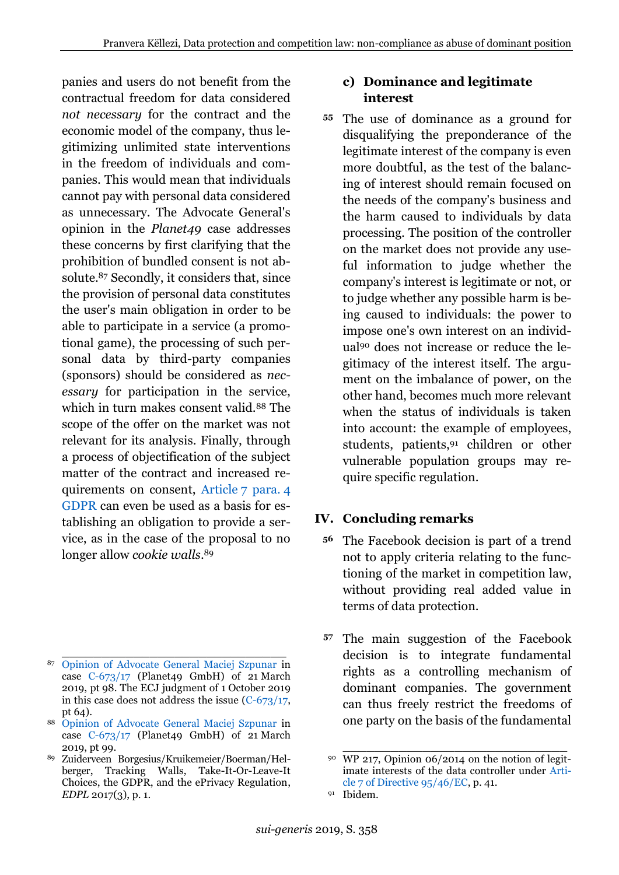panies and users do not benefit from the contractual freedom for data considered *not necessary* for the contract and the economic model of the company, thus legitimizing unlimited state interventions in the freedom of individuals and companies. This would mean that individuals cannot pay with personal data considered as unnecessary. The Advocate General's opinion in the *Planet49* case addresses these concerns by first clarifying that the prohibition of bundled consent is not absolute.<sup>87</sup> Secondly, it considers that, since the provision of personal data constitutes the user's main obligation in order to be able to participate in a service (a promotional game), the processing of such personal data by third-party companies (sponsors) should be considered as *necessary* for participation in the service, which in turn makes consent valid.<sup>88</sup> The scope of the offer on the market was not relevant for its analysis. Finally, through a process of objectification of the subject matter of the contract and increased requirements on consent, Article [7 para.](https://perma.cc/YXD5-P85J) 4 [GDPR](https://perma.cc/YXD5-P85J) can even be used as a basis for establishing an obligation to provide a service, as in the case of the proposal to no longer allow *cookie walls*. 89

#### **c) Dominance and legitimate interest**

The use of dominance as a ground for **55** disqualifying the preponderance of the legitimate interest of the company is even more doubtful, as the test of the balancing of interest should remain focused on the needs of the company's business and the harm caused to individuals by data processing. The position of the controller on the market does not provide any useful information to judge whether the company's interest is legitimate or not, or to judge whether any possible harm is being caused to individuals: the power to impose one's own interest on an individual<sup>90</sup> does not increase or reduce the legitimacy of the interest itself. The argument on the imbalance of power, on the other hand, becomes much more relevant when the status of individuals is taken into account: the example of employees, students, patients,<sup>91</sup> children or other vulnerable population groups may require specific regulation.

# <span id="page-15-0"></span>**IV. Concluding remarks**

- The Facebook decision is part of a trend **56** not to apply criteria relating to the functioning of the market in competition law, without providing real added value in terms of data protection.
- 57 The main suggestion of the Facebook decision is to integrate fundamental rights as a controlling mechanism of dominant companies. The government can thus freely restrict the freedoms of one party on the basis of the fundamental

\_\_\_\_\_\_\_\_\_\_\_\_\_\_\_\_\_\_\_\_\_\_\_\_\_\_\_\_ <sup>87</sup> [Opinion of Advocate General Maciej Szpunar](https://perma.cc/J4YS-2K6T) in case  $C-673/17$  (Planet49 GmbH) of 21 March 2019, pt 98. The ECJ judgment of 1 October 2019 in this case does not address the issue [\(C-673/17,](https://perma.cc/RWM3-2XKQ) pt 64).

<sup>88</sup> [Opinion of Advocate General Maciej Szpunar](https://perma.cc/J4YS-2K6T) in case [C-673/17](https://perma.cc/RWM3-2XKQ) (Planet49 GmbH) of 21 March 2019, pt 99.

<sup>89</sup> Zuiderveen Borgesius/Kruikemeier/Boerman/Helberger, Tracking Walls, Take-It-Or-Leave-It Choices, the GDPR, and the ePrivacy Regulation, *EDPL* 2017(3), p. 1.

\_\_\_\_\_\_\_\_\_\_\_\_\_\_\_\_\_\_\_\_\_\_\_\_\_\_\_\_ <sup>90</sup> WP 217, Opinion 06/2014 on the notion of legitimate interests of the data controller under [Arti](https://perma.cc/FUT8-DTKZ)[cle 7 of Directive 95/46/EC,](https://perma.cc/FUT8-DTKZ) p. 41.

<sup>91</sup> Ibidem.